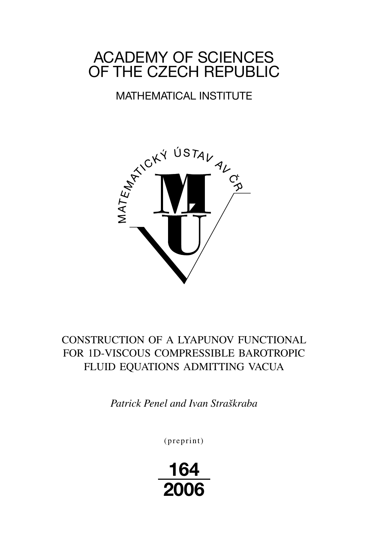# ACADEMY OF SCIENCES OF THE CZECH REPUBLIC

# MATHEMATICAL INSTITUTE



## CONSTRUCTION OF A LYAPUNOV FUNCTIONAL FOR 1D-VISCOUS COMPRESSIBLE BAROTROPIC FLUID EQUATIONS ADMITTING VACUA

*Patrick Penel and Ivan Straškraba*

(preprint)

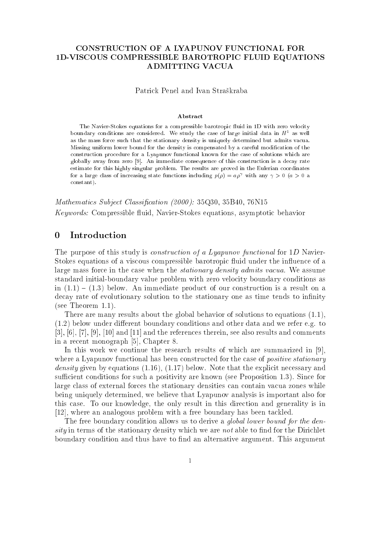### CONSTRUCTION OF A LYAPUNOV FUNCTIONAL FOR 1D-VISCOUS COMPRESSIBLE BAROTROPIC FLUID EQUATIONS ADMITTING VACUA

Patrick Penel and Ivan Straškraba

#### Abstract

The Navier-Stokes equations for a compressible barotropic fluid in 1D with zero velocity boundary conditions are considered. We study the case of large initial data in  $H^\pm$  as well as the mass force such that the stationary density is uniquely determined but admits vacua. Missing uniform lower bound for the density is compensated by a careful modication of the construction procedure for a Lyapunov functional known for the case of solutions which are globally away from zero [9]. An immediate consequence of this construction is a decay rate estimate for this highly singular problem. The results are proved in the Eulerian coordinates for a large class of increasing state functions including  $p(\rho) = a \rho^+$  with any  $\gamma > 0$  ( $a > 0$  a constant). constant).

Mathematics Subject Classification (2000): 35Q30, 35B40, 76N15 Keywords: Compressible fluid, Navier-Stokes equations, asymptotic behavior

#### Introduction  $\Omega$

The purpose of this study is *construction of a Lyapunov functional* for 1D Navier-Stokes equations of a viscous compressible barotropic fluid under the influence of a large mass force in the case when the stationary density admits vacua. We assume standard initial-boundary value problem with zero velocity boundary conditions as in  $(1.1) - (1.3)$  below. An immediate product of our construction is a result on a decay rate of evolutionary solution to the stationary one as time tends to infinity (see Theorem 1.1).

There are many results about the global behavior of solutions to equations (1.1),  $(1.2)$  below under different boundary conditions and other data and we refer e.g. to [3], [6], [7], [9], [10] and [11] and the references therein, see also results and comments in a recent monograph [5], Chapter 8.

In this work we continue the research results of which are summarized in [9], where a Lyapunov functional has been constructed for the case of *positive stationary* density given by equations (1.16), (1.17) below. Note that the explicit necessary and sufficient conditions for such a positivity are known (see Proposition 1.3). Since for large class of external forces the stationary densities can contain vacua zones while being uniquely determined, we believe that Lyapunov analysis is important also for this case. To our knowledge, the only result in this direction and generality is in [12], where an analogous problem with a free boundary has been tackled.

The free boundary condition allows us to derive a *global lower bound for the den* $sity$  in terms of the stationary density which we are *not* able to find for the Dirichlet boundary condition and thus have to find an alternative argument. This argument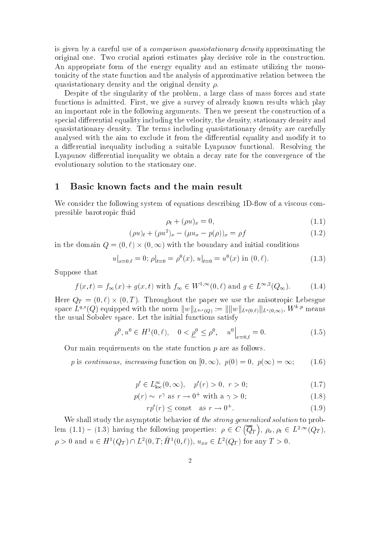is given by a careful use of a comparison quasistationary density approximating the original one. Two crucial apriori estimates play decisive role in the construction. An appropriate form of the energy equality and an estimate utilizing the monotonicity of the state function and the analysis of approximative relation between the quasistationary density and the original density  $\rho$ .

Despite of the singularity of the problem, a large class of mass forces and state functions is admitted. First, we give a survey of already known results which play an important role in the following arguments. Then we present the construction of a special differential equality including the velocity, the density, stationary density and quasistationary density. The terms including quasistationary density are carefully analysed with the aim to exclude it from the differential equality and modify it to a differential inequality including a suitable Lyapunov functional. Resolving the Lyapunov differential inequality we obtain a decay rate for the convergence of the evolutionary solution to the stationary one.

#### Basic known facts and the main result  $\mathbf{1}$

We consider the following system of equations describing 1D-flow of a viscous compressible barotropic fluid

$$
\rho_t + (\rho u)_x = 0,\tag{1.1}
$$

$$
(\rho u)_t + (\rho u^2)_x - (\mu u_x - p(\rho))_x = \rho f \tag{1.2}
$$

in the domain  $\mathcal{U} = \mathcal{U} = \mathcal{U} = \mathcal{U} = \mathcal{U}$  and initial conditions of the boundary and initial conditions of the boundary and initial conditions of the boundary and initial conditions of the boundary and initial co

$$
u|_{x=0,\ell} = 0; \rho|_{t=0} = \rho^{0}(x), u|_{t=0} = u^{0}(x) \text{ in } (0,\ell).
$$
 (1.3)

Suppose that

$$
f(x,t) = f_{\infty}(x) + g(x,t) \text{ with } f_{\infty} \in W^{1,\infty}(0,\ell) \text{ and } g \in L^{\infty,2}(Q_{\infty}).
$$
 (1.4)

Here QT <sup>=</sup> (0; `) - (0; <sup>T</sup> ). Throughout the paper we use the anisotropic Lebesgue space  $L^{n,*}(Q)$  equipped with the norm  $||w||_{L^{q,s}(Q)} := ||||w||_{L^{q}(0,\ell)}||_{L^{s}(0,\infty)},$  W  $\mathbb{T}^r$  means the usual Sobolev space. Let the initial functions satisfy

$$
\rho^0, u^0 \in H^1(0, \ell), \quad 0 < \underline{\rho}^0 \le \rho^0, \quad u^0 \big|_{x=0, \ell} = 0. \tag{1.5}
$$

Our main requirements on the state function  $p$  are as follows.

p is continuous, increasing function on [0; 1); p(0) = 0; p(1) = 1; (1.6)

$$
p' \in L_{\text{loc}}^{\infty}(0,\infty), \quad p'(r) > 0, \ r > 0; \tag{1.7}
$$

$$
p(r) \sim r^{\gamma} \text{ as } r \to 0^+ \text{ with a } \gamma > 0;
$$
 (1.8)

$$
rp'(r) \le \text{const} \quad \text{as } r \to 0^+.
$$
 (1.9)

We shall study the asymptotic behavior of the *strong generalized solution* to problem (1.1) { (1.3) having the following properties: <sup>2</sup> <sup>C</sup>  $\overline{\phantom{a}}$  $\sim$   $\prime$  $\big), \ \rho_x, \rho_t \in L^{2,\infty}(Q_T),$  $\rho > 0$  and  $u \in H$  ( $Q_T$ ) ii L (0,1; H (0,  $\ell$ )),  $u_{xx} \in L$  ( $Q_T$ ) for any  $T > 0$ .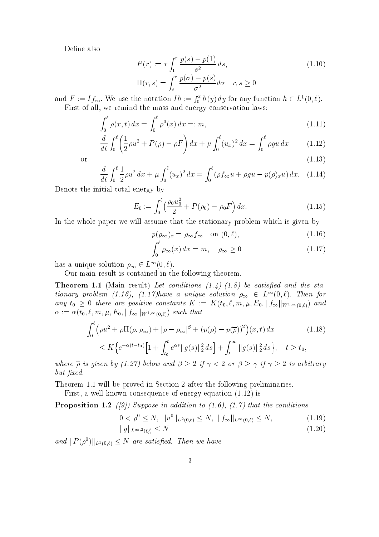Define also

$$
P(r) := r \int_1^r \frac{p(s) - p(1)}{s^2} ds,
$$
  
\n
$$
\Pi(r, s) = \int_s^r \frac{p(\sigma) - p(s)}{\sigma^2} d\sigma \quad r, s \ge 0
$$
\n(1.10)

and  $F := I f_{\infty}$ . We use the notation  $I h := \int_0^x h(y) dy$  for any function  $h \in L^1(0, \ell)$ . First of all, we remind the mass and energy conservation laws:

$$
\int_0^\ell \rho(x, t) \, dx = \int_0^\ell \rho^0(x) \, dx =: m,\tag{1.11}
$$

$$
\frac{d}{dt} \int_0^{\ell} \left( \frac{1}{2} \rho u^2 + P(\rho) - \rho F \right) dx + \mu \int_0^{\ell} (u_x)^2 dx = \int_0^{\ell} \rho g u dx \qquad (1.12)
$$

or (1.13) and (1.13) and (1.13) and (1.13) and (1.13) and (1.13) and (1.13) and (1.13) and (1.13) and (1.13) and (1.13) and (1.13) and (1.13) and (1.13) and (1.13) and (1.13) and (1.13) and (1.13) and (1.13) and (1.13) and

$$
\frac{d}{dt} \int_0^{\ell} \frac{1}{2} \rho u^2 \, dx + \mu \int_0^{\ell} (u_x)^2 \, dx = \int_0^{\ell} (\rho f_\infty u + \rho g u - p(\rho)_x u) \, dx. \tag{1.14}
$$

Denote the initial total energy by

$$
E_0 := \int_0^\ell \left(\frac{\rho_0 u_0^2}{2} + P(\rho_0) - \rho_0 F\right) dx.
$$
 (1.15)

In the whole paper we will assume that the stationary problem which is given by

$$
p(\rho_{\infty})_x = \rho_{\infty} f_{\infty} \quad \text{on } (0, \ell), \tag{1.16}
$$

$$
\int_0^{\ell} \rho_{\infty}(x) dx = m, \quad \rho_{\infty} \ge 0 \tag{1.17}
$$

has a unique solution  $\rho_{\infty} \in L^{\infty}(0,\ell).$ 

Our main result is contained in the following theorem.

**Theorem 1.1** (Main result) Let conditions  $(1.4)$ - $(1.8)$  be satisfied and the stationary problem (1.10), (1.11)have a unique solution  $\rho_{\infty} \in L$  (0,0). Then for any  $t_0 \geq 0$  there are positive constants  $K := K(t_0, \ell, m, \mu, E_0, \|f_\infty\|_{W^{1,\infty}(0,\ell)})$  and  $\tau$  . (to  $\tau$ ) such that  $\tau$  is equal to  $\tau$  is equal to  $\tau$  if  $\tau$  is equal to  $\tau$  is equal to  $\tau$ 

$$
\int_{0}^{\ell} \left(\rho u^{2} + \rho \Pi(\rho, \rho_{\infty}) + |\rho - \rho_{\infty}|^{\beta} + (p(\rho) - p(\overline{\rho}))^{2}\right)(x, t) dx
$$
\n
$$
\leq K \Big\{ e^{-\alpha(t - t_{0})} \Big[1 + \int_{t_{0}}^{t} e^{\alpha s} \|g(s)\|_{2}^{2} ds\Big] + \int_{t}^{\infty} \|g(s)\|_{2}^{2} ds\Big\}, \quad t \geq t_{0},
$$
\n(1.18)

where  $\overline{\rho}$  is given by (1.27) below and  $\beta \geq 2$  if  $\gamma < 2$  or  $\beta \geq \gamma$  if  $\gamma \geq 2$  is arbitrary but fixed.

Theorem 1.1 will be proved in Section 2 after the following preliminaries.

First, a well-known consequence of energy equation (1.12) is

**Proposition 1.2** ([9]) Suppose in addition to  $(1.6)$ ,  $(1.7)$  that the conditions

$$
0 < \rho^0 \le N, \quad \|u^0\|_{L^2(0,\ell)} \le N, \quad \|f_{\infty}\|_{L^{\infty}(0,\ell)} \le N,\tag{1.19}
$$

$$
||g||_{L^{\infty,2}(Q)} \le N \tag{1.20}
$$

and  $||P(\rho)||_{L^1(0,\ell)} \leq N$  are satisfied. Then we have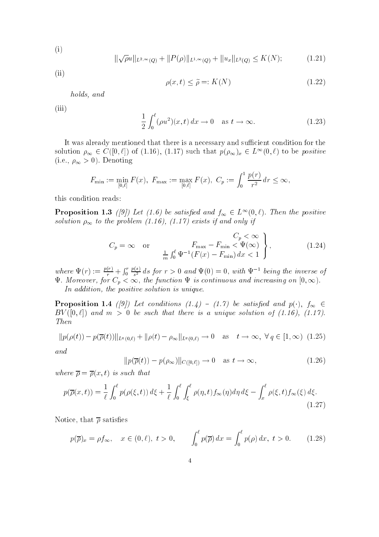$$
(i)
$$

$$
\|\sqrt{\rho}u\|_{L^{2,\infty}(Q)} + \|P(\rho)\|_{L^{1,\infty}(Q)} + \|u_x\|_{L^2(Q)} \le K(N); \tag{1.21}
$$

(ii)

$$
\rho(x,t) \le \tilde{\rho} =: K(N) \tag{1.22}
$$

99. Only 1.

holds, and

 $(iii)$ 

$$
\frac{1}{2} \int_0^\ell (\rho u^2)(x, t) dx \to 0 \quad \text{as } t \to \infty.
$$
 (1.23)

It was already mentioned that there is a necessary and sufficient condition for the solution  $\rho_{\infty} \in C([0,\ell])$  of (1.10), (1.17) such that  $p(\rho_{\infty})_x \in L^{1,1}(0,\ell)$  to be positive  $(i.e., \rho_{\infty} > 0)$ . Denoting

$$
F_{\min} := \min_{[0,\ell]} F(x), \ F_{\max} := \max_{[0,\ell]} F(x), \ C_p := \int_0^1 \frac{p(r)}{r^2} dr \le \infty,
$$

this condition reads:

**Proposition 1.5** ([9]) Let (1.0) be satisfied and  $f_{\infty} \in L^{\infty}(0,\ell)$ . Then the positive solution  $\rho_{\infty}$  to the problem (1.16), (1.17) exists if and only if

$$
C_p = \infty \quad \text{or} \quad \begin{array}{c} C_p < \infty \\ F_{\text{max}} - F_{\text{min}} < \Psi(\infty) \\ \frac{1}{m} \int_0^\ell \Psi^{-1}(F(x) - F_{\text{min}}) \, dx < 1 \end{array}, \tag{1.24}
$$

where  $\Psi(r) := \frac{r(r)}{r} +$ <sup>R</sup> <sup>r</sup>  $\frac{p(z)}{s^2}$  as for  $r > 0$  and  $\Psi(0) = 0$ , with  $\Psi^{-1}$  being the inverse of  $\tau$  . Moreover, for  $\eta$  , the function  $f$  is continuous and increasing on  $\eta$  is continuous and  $\eta$ 

In addition, the positive solution is unique.

**Proposition 1.4** ([9]) Let conditions (1.4) - (1.7) be satisfied and  $p(\cdot)$ ,  $f_{\infty} \in$ BV ([0; `]) and <sup>m</sup> <sup>&</sup>gt; 0 be such that there is a unique solution of (1.16), (1.17). Then

$$
||p(\rho(t)) - p(\overline{\rho}(t))||_{L^{q}(0,\ell)} + ||\rho(t) - \rho_{\infty}||_{L^{q}(0,\ell)} \to 0 \quad \text{as} \quad t \to \infty, \ \forall q \in [1,\infty) \ (1.25)
$$

and

$$
||p(\overline{\rho}(t)) - p(\rho_{\infty})||_{C([0,\ell])} \to 0 \quad \text{as } t \to \infty,
$$
\n(1.26)

where  $\overline{\rho} = \overline{\rho}(x, t)$  is such that

$$
p(\overline{\rho}(x,t)) = \frac{1}{\ell} \int_0^{\ell} p(\rho(\xi,t)) d\xi + \frac{1}{\ell} \int_0^{\ell} \int_{\xi}^{\ell} \rho(\eta,t) f_{\infty}(\eta) d\eta d\xi - \int_x^{\ell} \rho(\xi,t) f_{\infty}(\xi) d\xi.
$$
\n(1.27)

Notice, that  $\bar{\rho}$  satisfies

$$
p(\overline{\rho})_x = \rho f_\infty, \quad x \in (0, \ell), \ t > 0, \qquad \int_0^\ell p(\overline{\rho}) \, dx = \int_0^\ell p(\rho) \, dx, \ t > 0. \tag{1.28}
$$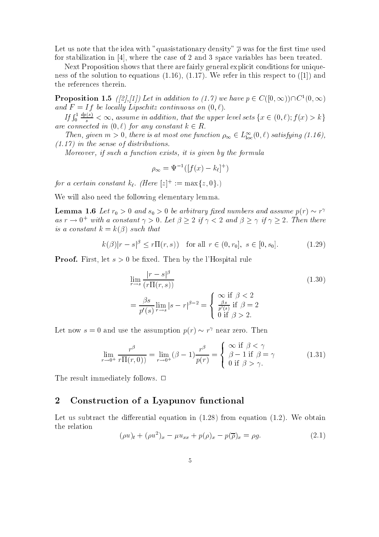Let us note that the idea with "quasistationary density"  $\bar{\rho}$  was for the first time used for stabilization in [4], where the case of 2 and 3 space variables has been treated.

Next Proposition shows that there are fairly general explicit conditions for uniqueness of the solution to equations  $(1.16)$ ,  $(1.17)$ . We refer in this respect to  $([1])$  and the references therein.

**Proposition 1.5** ([2],[1]) Let in addition to (1.1) we have  $p \in C([0,\infty))\cup C([0,\infty))$ and  $F = If$  be locally Lipschitz continuous on  $(0, \ell)$ .

If  $\int_0^1$  $\frac{d^2x}{ds^2} < \infty$ , assume in addition, that the upper level sets  $\{x \in (0,\ell); f(x) > k\}$ are connected in  $(0, \ell)$  for any constant  $k \in R$ .

Then, given  $m > 0$ , there is at most one function  $\rho_{\infty} \in L_{loc}^{\infty}(0, \ell)$  satisfying (1.10), (1.17) in the sense of distributions.

Moreover, if such a function exists, it is given by the formula

$$
\rho_{\infty} = \Psi^{-1}([f(x) - k_{\ell}]^+)
$$

for a certain constant  $\kappa_{\ell}$ . (Here  $|z|$ ) :=  $\max\{z, \theta\}$ .)

We will also need the following elementary lemma.

**Lemma 1.6** Let  $r_0 > 0$  and  $s_0 > 0$  be arbitrary fixed numbers and assume  $p(r) \sim r$ as  $r \to 0^+$  with a constant  $\gamma > 0$ . Let  $\rho > 2$  if  $\gamma < 2$  and  $\rho > \gamma$  if  $\gamma > 2$ . Then there is a constant  $k = k(\beta)$  such that

$$
k(\beta)|r - s|^{\beta} \le r\Pi(r, s) \quad \text{for all } r \in (0, r_0], \ s \in [0, s_0]. \tag{1.29}
$$

**Proof.** First, let  $s > 0$  be fixed. Then by the l'Hospital rule

$$
\lim_{r \to s} \frac{|r - s|^{\beta}}{(r\Pi(r, s))}
$$
\n
$$
= \frac{\beta s}{p'(s)} \lim_{r \to s} |s - r|^{\beta - 2} = \begin{cases} \infty & \text{if } \beta < 2\\ \frac{\beta s}{p'(s)} & \text{if } \beta = 2\\ 0 & \text{if } \beta > 2. \end{cases}
$$
\n(1.30)

Let now  $s = 0$  and use the assumption  $p(r) \sim r^r$  near zero. Then

$$
\lim_{r \to 0^+} \frac{r^\beta}{r \Pi(r, 0)} = \lim_{r \to 0^+} (\beta - 1) \frac{r^\beta}{p(r)} = \begin{cases} \infty & \text{if } \beta < \gamma \\ \beta - 1 & \text{if } \beta = \gamma \\ 0 & \text{if } \beta > \gamma. \end{cases}
$$
(1.31)

- -

The result immediately follows.  $\Box$ 

#### <sup>2</sup> Construction of <sup>a</sup> Lyapunov functional

Let us subtract the differential equation in  $(1.28)$  from equation  $(1.2)$ . We obtain the relation

$$
(\rho u)_t + (\rho u^2)_x - \mu u_{xx} + p(\rho)_x - p(\overline{\rho})_x = \rho g. \tag{2.1}
$$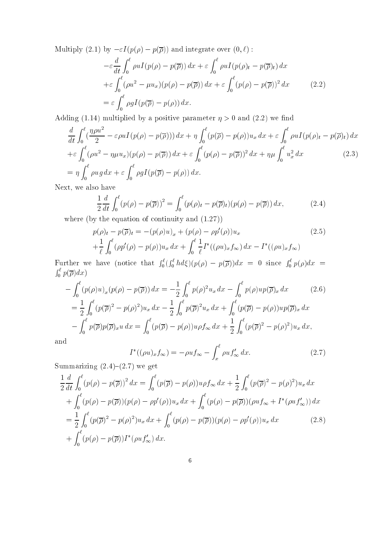Multiply (2.1) by  $-\varepsilon I (p(\rho) - p(\overline{\rho}))$  and integrate over  $(0, \ell)$ :

$$
-\varepsilon \frac{d}{dt} \int_0^\ell \rho u I(p(\rho) - p(\overline{\rho})) dx + \varepsilon \int_0^\ell \rho u I(p(\rho)_t - p(\overline{\rho})_t) dx
$$
  
+
$$
\varepsilon \int_0^\ell (\rho u^2 - \mu u_x)(p(\rho) - p(\overline{\rho})) dx + \varepsilon \int_0^\ell (p(\rho) - p(\overline{\rho}))^2 dx
$$
(2.2)  
=
$$
\varepsilon \int_0^\ell \rho g I(p(\overline{\rho}) - p(\rho)) dx.
$$

Adding (1.14) multiplied by a positive parameter  $\eta > 0$  and (2.2) we find

$$
\frac{d}{dt} \int_0^\ell \left(\frac{\eta \rho u^2}{2} - \varepsilon \rho u I(p(\rho) - p(\overline{\rho}))\right) dx + \eta \int_0^\ell (p(\overline{\rho}) - p(\rho)) u_x \, dx + \varepsilon \int_0^\ell \rho u I(p(\rho)_t - p(\overline{\rho})_t) \, dx
$$
\n
$$
+ \varepsilon \int_0^\ell (\rho u^2 - \eta \mu u_x)(p(\rho) - p(\overline{\rho})) \, dx + \varepsilon \int_0^\ell (p(\rho) - p(\overline{\rho}))^2 \, dx + \eta \mu \int_0^\ell u_x^2 \, dx \tag{2.3}
$$
\n
$$
= \eta \int_0^\ell \rho u g \, dx + \varepsilon \int_0^\ell \rho g I(p(\overline{\rho}) - p(\rho)) \, dx.
$$

Next, we also have

$$
\frac{1}{2}\frac{d}{dt}\int_0^\ell (p(\rho) - p(\overline{\rho}))^2 = \int_0^\ell (p(\rho)_t - p(\overline{\rho})_t)(p(\rho) - p(\overline{\rho})) dx,
$$
\n(2.4)

where (by the equation of continuity and (1.27))

$$
p(\rho)_t - p(\overline{\rho})_t = -(p(\rho)u)_x + (p(\rho) - \rho p'(\rho))u_x
$$
  
+ 
$$
\frac{1}{\ell} \int_0^{\ell} (\rho p'(\rho) - p(\rho))u_x dx + \int_0^{\ell} \frac{1}{\ell} I^*((\rho u)_x f_\infty) dx - I^*((\rho u)_x f_\infty)
$$
 (2.5)

Further we have (notice that  $\int_0^{\ell}$  $\int_0^t h d\xi (p(\rho) - p(\overline{\rho})) dx = 0$  since  $\int_0^t p(\rho) dx =$  $\int_0^t p(\overline{\rho})dx$ 

$$
-\int_{0}^{\ell} (p(\rho)u)_x (p(\rho) - p(\overline{\rho})) dx = -\frac{1}{2} \int_{0}^{\ell} p(\rho)^2 u_x dx - \int_{0}^{\ell} p(\rho)u p(\overline{\rho})_x dx \qquad (2.6)
$$
  

$$
= \frac{1}{2} \int_{0}^{\ell} (p(\overline{\rho})^2 - p(\rho)^2) u_x dx - \frac{1}{2} \int_{0}^{\ell} p(\overline{\rho})^2 u_x dx + \int_{0}^{\ell} (p(\overline{\rho}) - p(\rho))u p(\overline{\rho})_x dx
$$
  

$$
- \int_{0}^{\ell} p(\overline{\rho}) p(\overline{\rho})_x u dx = \int_{0}^{\ell} (p(\overline{\rho}) - p(\rho))u \rho f_{\infty} dx + \frac{1}{2} \int_{0}^{\ell} (p(\overline{\rho})^2 - p(\rho)^2) u_x dx,
$$
  
d

and

$$
I^*((\rho u)_x f_\infty) = -\rho u f_\infty - \int_x^\ell \rho u f'_\infty dx.
$$
\n(2.7)

Summarizing  $(2.4)-(2.7)$  we get

$$
\frac{1}{2} \frac{d}{dt} \int_0^{\ell} (p(\rho) - p(\overline{\rho}))^2 dx = \int_0^{\ell} (p(\overline{\rho}) - p(\rho)) u \rho f_{\infty} dx + \frac{1}{2} \int_0^{\ell} (p(\overline{\rho})^2 - p(\rho)^2) u_x dx \n+ \int_0^{\ell} (p(\rho) - p(\overline{\rho})) (p(\rho) - \rho p'(\rho)) u_x dx + \int_0^{\ell} (p(\rho) - p(\overline{\rho})) (\rho u f_{\infty} + I^*(\rho u f_{\infty}')) dx \n= \frac{1}{2} \int_0^{\ell} (p(\overline{\rho})^2 - p(\rho)^2) u_x dx + \int_0^{\ell} (p(\rho) - p(\overline{\rho})) (p(\rho) - \rho p'(\rho)) u_x dx \qquad (2.8) \n+ \int_0^{\ell} (p(\rho) - p(\overline{\rho})) I^*(\rho u f_{\infty}')
$$
 dx.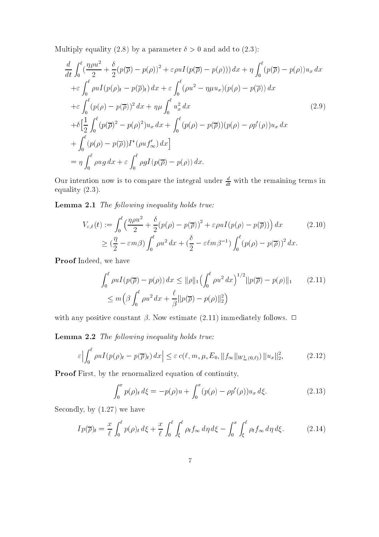Multiply equality (2.8) by a parameter  $\delta > 0$  and add to (2.3):

$$
\frac{d}{dt} \int_0^\ell \left(\frac{\eta \rho u^2}{2} + \frac{\delta}{2} (p(\overline{\rho}) - p(\rho))^2 + \varepsilon \rho u I(p(\overline{\rho}) - p(\rho))) dx + \eta \int_0^\ell (p(\overline{\rho}) - p(\rho)) u_x dx \n+ \varepsilon \int_0^\ell \rho u I(p(\rho)_t - p(\overline{\rho})_t) dx + \varepsilon \int_0^\ell (\rho u^2 - \eta \mu u_x) (p(\rho) - p(\overline{\rho})) dx \n+ \varepsilon \int_0^\ell (p(\rho) - p(\overline{\rho}))^2 dx + \eta \mu \int_0^\ell u_x^2 dx \n+ \delta \Big[ \frac{1}{2} \int_0^\ell (p(\overline{\rho})^2 - p(\rho)^2) u_x dx + \int_0^\ell (p(\rho) - p(\overline{\rho})) (p(\rho) - \rho p'(\rho)) u_x dx \n+ \int_0^\ell (p(\rho) - p(\overline{\rho})) I^*(\rho u f_\infty') dx \Big] \n= \eta \int_0^\ell \rho u g dx + \varepsilon \int_0^\ell \rho g I(p(\overline{\rho}) - p(\rho)) dx.
$$
\n(2.9)

Our intention now is to compare the integral under  $\frac{d}{dt}$  with the remaining terms in equality (2.3).

Lemma 2.1 The following inequality holds true:

$$
V_{\varepsilon,\delta}(t) := \int_0^\ell \left(\frac{\eta \rho u^2}{2} + \frac{\delta}{2} (p(\rho) - p(\overline{\rho}))^2 + \varepsilon \rho u I(p(\rho) - p(\overline{\rho}))\right) dx \qquad (2.10)
$$
  

$$
\geq \left(\frac{\eta}{2} - \varepsilon m \beta\right) \int_0^\ell \rho u^2 dx + \left(\frac{\delta}{2} - \varepsilon \ell m \beta^{-1}\right) \int_0^\ell (p(\rho) - p(\overline{\rho}))^2 dx.
$$

Proof Indeed, we have

$$
\int_0^{\ell} \rho u I(p(\overline{\rho}) - p(\rho)) dx \le ||\rho||_1 \Big(\int_0^{\ell} \rho u^2 dx\Big)^{1/2} ||p(\overline{\rho}) - p(\rho)||_1 \qquad (2.11)
$$
  

$$
\le m \Big(\beta \int_0^{\ell} \rho u^2 dx + \frac{\ell}{\beta} ||p(\overline{\rho}) - p(\rho)||_2^2\Big)
$$

with any positive constant  $\beta$ . Now estimate (2.11) immediately follows.  $\Box$ 

Lemma 2.2 The following inequality holds true:

$$
\varepsilon \Big| \int_0^\ell \rho u I(p(\rho)_t - p(\overline{\rho})_t) \, dx \Big| \le \varepsilon \, c(\ell, m, \mu, E_0, \|f_\infty\|_{W^1_\infty(0,\ell)}) \, \|u_x\|_2^2, \tag{2.12}
$$

Proof First, by the renormalized equation of continuity,

$$
\int_0^x p(\rho)_t d\xi = -p(\rho)u + \int_0^x (p(\rho) - \rho p'(\rho))u_x d\xi.
$$
 (2.13)

Secondly, by (1.27) we have

$$
I p(\overline{\rho})_t = \frac{x}{\ell} \int_0^{\ell} p(\rho)_t d\xi + \frac{x}{\ell} \int_0^{\ell} \int_{\xi}^{\ell} \rho_t f_{\infty} d\eta d\xi - \int_0^x \int_{\xi}^{\ell} \rho_t f_{\infty} d\eta d\xi.
$$
 (2.14)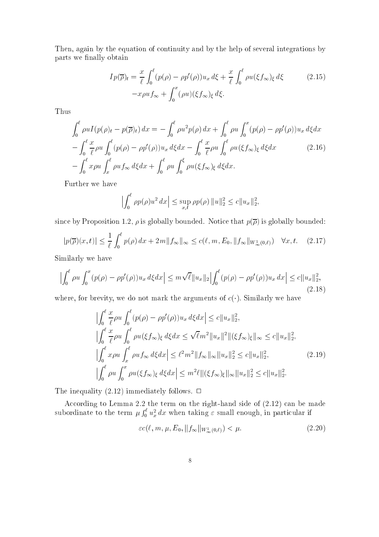Then, again by the equation of continuity and by the help of several integrations by parts we finally obtain

$$
I p(\overline{\rho})_t = \frac{x}{\ell} \int_0^{\ell} (p(\rho) - \rho p'(\rho)) u_x d\xi + \frac{x}{\ell} \int_0^{\ell} \rho u(\xi f_{\infty})_\xi d\xi
$$
 (2.15)  

$$
-x \rho u f_{\infty} + \int_0^x (\rho u)(\xi f_{\infty})_\xi d\xi.
$$

Thus

$$
\int_0^\ell \rho u I(p(\rho)_t - p(\overline{\rho})_t) dx = -\int_0^\ell \rho u^2 p(\rho) dx + \int_0^\ell \rho u \int_0^x (p(\rho) - \rho p'(\rho)) u_x d\xi dx
$$
  

$$
-\int_0^\ell \frac{x}{\ell} \rho u \int_0^\ell (p(\rho) - \rho p'(\rho)) u_x d\xi dx - \int_0^\ell \frac{x}{\ell} \rho u \int_0^\ell \rho u(\xi f_\infty)_\xi d\xi dx
$$
(2.16)  

$$
-\int_0^\ell x \rho u \int_x^\ell \rho u f_\infty d\xi dx + \int_0^\ell \rho u \int_0^\xi \rho u(\xi f_\infty)_\xi d\xi dx.
$$

Further we have

$$
\left| \int_0^{\ell} \rho p(\rho) u^2 dx \right| \leq \sup_{x,t} \rho p(\rho) ||u||_2^2 \leq c ||u_x||_2^2,
$$

since by Proposition 1.2,  $\rho$  is globally bounded. Notice that  $p(\overline{\rho})$  is globally bounded:

$$
|p(\overline{\rho})(x,t)| \le \frac{1}{\ell} \int_0^{\ell} p(\rho) \, dx + 2m \|f_{\infty}\|_{\infty} \le c(\ell, m, E_0, \|f_{\infty}\|_{W^1_{\infty}(0,\ell)}) \quad \forall x, t. \tag{2.17}
$$

Similarly we have

$$
\left| \int_0^\ell \rho u \int_0^x (p(\rho) - \rho p'(\rho)) u_x \, d\xi dx \right| \le m \sqrt{\ell} \|u_x\|_2 \left| \int_0^\ell (p(\rho) - \rho p'(\rho)) u_x \, dx \right| \le c \|u_x\|_2^2,
$$
\n(2.18)

where, for brevity, we do not mark the arguments of  $c(.)$ . Similarly we have

$$
\left| \int_{0}^{\ell} \frac{x}{\ell} \rho u \int_{0}^{\ell} (p(\rho) - \rho p'(\rho)) u_x d\xi dx \right| \leq c \|u_x\|_2^2,
$$
  

$$
\left| \int_{0}^{\ell} \frac{x}{\ell} \rho u \int_{0}^{\ell} \rho u (\xi f_{\infty})_{\xi} d\xi dx \leq \sqrt{\ell} m^2 \|u_x\|^2 \| (\xi f_{\infty})_{\xi}\|_{\infty} \leq c \|u_x\|_2^2,
$$
  

$$
\left| \int_{0}^{\ell} x \rho u \int_{x}^{\ell} \rho u f_{\infty} d\xi dx \right| \leq \ell^2 m^2 \|f_{\infty}\|_{\infty} \|u_x\|_2^2 \leq c \|u_x\|_2^2,
$$
  

$$
\left| \int_{0}^{\ell} \rho u \int_{0}^{x} \rho u (\xi f_{\infty})_{\xi} d\xi dx \right| \leq m^2 \ell \| (\xi f_{\infty})_{\xi} \|_{\infty} \|u_x\|_2^2 \leq c \|u_x\|_2^2.
$$
 (2.19)

The inequality (2.12) immediately follows.  $\Box$ 

 $\mathcal{A}$ subordinate to the term of the term of the term of the term of the term of the term of the term of the term of  $\int_0^{\epsilon} u_x^2 dx$  when taking  $\epsilon$  small enough, in particular if

$$
\varepsilon c(\ell, m, \mu, E_0, \|f_\infty\|_{W^1_\infty(0,\ell)}) < \mu. \tag{2.20}
$$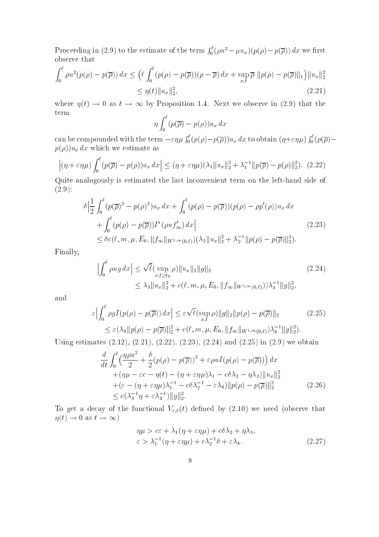Proceeding in (2.9) to the estimate of the term  $\int_0^t (\rho u^2 - \mu u_x)(p(\rho) - p(\overline{\rho})) dx$  we first observe that

$$
\int_0^\ell \rho u^2(p(\rho) - p(\overline{\rho})) dx \leq \left( \ell \int_0^\ell (p(\rho) - p(\overline{\rho})) (\rho - \overline{\rho}) dx + \sup_{x,t} \overline{\rho} ||p(\rho) - p(\overline{\rho})||_1 \right) ||u_x||_2^2
$$
  

$$
\leq \eta(t) ||u_x||_2^2,
$$
\n(2.21)

where  $\eta(t) \to 0$  as  $t \to \infty$  by Proposition 1.4. Next we observe in (2.9) that the term

$$
\eta \int_0^{\ell} (p(\overline{\rho}) - p(\rho)) u_x dx
$$

can be compounded with the term  $-\varepsilon \eta \mu \int_0^t (p(\rho)-p(\overline{\rho}))u_x dx$  to obtain  $(\eta+\varepsilon \eta \mu)$  $\int_0^{\ell} (p(\overline{\rho})$  $p(\rho)$ ) $u_x dx$  which we estimate as

$$
\left| \left( \eta + \varepsilon \eta \mu \right) \int_0^\ell (p(\overline{\rho}) - p(\rho)) u_x \, dx \right| \le (\eta + \varepsilon \eta \mu) (\lambda_1 \| u_x \|_2^2 + \lambda_1^{-1} \| p(\overline{\rho}) - p(\rho) \|_2^2). \tag{2.22}
$$

Quite analogously is estimated the last inconvenient term on the left-hand side of (2.9):

$$
\delta \Big| \frac{1}{2} \int_0^{\ell} (p(\overline{\rho})^2 - p(\rho)^2) u_x \, dx + \int_0^{\ell} (p(\rho) - p(\overline{\rho})) (p(\rho) - \rho p'(\rho)) u_x \, dx + \int_0^{\ell} (p(\rho) - p(\overline{\rho})) I^*(\rho u f'_{\infty}) \, dx \Big|
$$
\n
$$
\leq \delta c(\ell, m, \mu, E_0, \|f_{\infty}\|_{W^{1,\infty}(0,\ell)}) (\lambda_2 \|u_x\|_2^2 + \lambda_2^{-1} \|p(\rho) - p(\overline{\rho})\|_2^2).
$$
\n(2.23)

Finally,

$$
\left| \int_0^\ell \rho u g \, dx \right| \leq \sqrt{\ell} \left( \sup_{x, t \geq t_0} \rho \right) \|u_x\|_2 \|g\|_2
$$
\n
$$
\leq \lambda_3 \|u_x\|_2^2 + c(\ell, m, \mu, E_0, \|f_\infty\|_{W^{1, \infty}(0, \ell)}) \lambda_3^{-1} \|g\|_2^2,
$$
\n(2.24)

and

$$
\varepsilon \Big| \int_0^\ell \rho g I(p(\rho) - p(\overline{\rho})) dx \Big| \leq \varepsilon \sqrt{\ell} (\sup_{x,t} \rho) \|g\|_2 \|p(\rho) - p(\overline{\rho})\|_2 \tag{2.25}
$$
  

$$
\leq \varepsilon (\lambda_4 \|p(\rho) - p(\overline{\rho})\|_2^2 + c(\ell, m, \mu, E_0, \|f_\infty\|_{W^{1,\infty}(0,\ell)}) \lambda_4^{-1} \|g\|_2^2).
$$

Using estimates (2.12), (2.21), (2.22), (2.23), (2.24) and (2.25) in (2.9) we obtain

$$
\frac{d}{dt} \int_0^{\ell} \left( \frac{\eta \rho u^2}{2} + \frac{\delta}{2} (p(\rho) - p(\overline{\rho}))^2 + \varepsilon \rho u I(p(\rho) - p(\overline{\rho})) \right) dx \n+ (\eta \mu - \varepsilon c - \eta(t) - (\eta + \varepsilon \eta \mu) \lambda_1 - c \delta \lambda_2 - \eta \lambda_3) ||u_x||_2^2 \n+ (\varepsilon - (\eta + \varepsilon \eta \mu) \lambda_1^{-1} - c \delta \lambda_2^{-1} - \varepsilon \lambda_4) ||p(\rho) - p(\overline{\rho})||_2^2 \n\leq c (\lambda_3^{-1} \eta + \varepsilon \lambda_4^{-1}) ||g||_2^2.
$$
\n(2.26)

To get a decay of the functional  $V_{\varepsilon,\delta}(t)$  defined by  $(2.10)$  we need (observe that  $\eta(t) \to 0$  as  $t \to \infty$ )

$$
\eta \mu > c\varepsilon + \lambda_1(\eta + \varepsilon \eta \mu) + c\delta\lambda_2 + \eta\lambda_3, \n\varepsilon > \lambda_1^{-1}(\eta + \varepsilon \eta \mu) + c\lambda_2^{-1}\delta + \varepsilon\lambda_4.
$$
\n(2.27)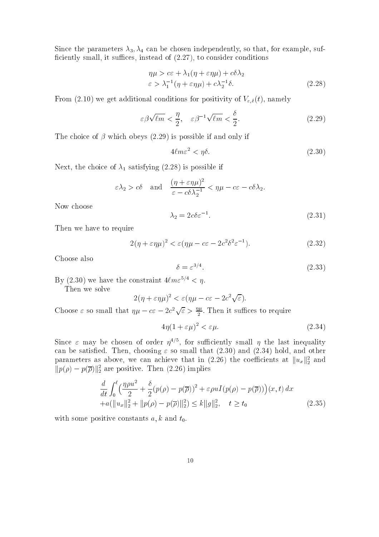Since the parameters  $\lambda_3$ ,  $\lambda_4$  can be chosen independently, so that, for example, sufficiently small, it suffices, instead of  $(2.27)$ , to consider conditions

$$
\eta \mu > c\varepsilon + \lambda_1(\eta + \varepsilon \eta \mu) + c\delta\lambda_2
$$
  

$$
\varepsilon > \lambda_1^{-1}(\eta + \varepsilon \eta \mu) + c\lambda_2^{-1}\delta.
$$
 (2.28)

From (2.10) we get additional conditions for positivity of  $V_{\varepsilon,\delta}(t)$ , namely

$$
\varepsilon \beta \sqrt{\ell m} < \frac{\eta}{2}, \quad \varepsilon \beta^{-1} \sqrt{\ell m} < \frac{\delta}{2}.\tag{2.29}
$$

The choice of  $\beta$  which obeys (2.29) is possible if and only if

$$
4\ell m \varepsilon^2 < \eta \delta. \tag{2.30}
$$

Next, the choice of  $\lambda_1$  satisfying (2.28) is possible if

$$
\varepsilon \lambda_2 > c\delta
$$
 and  $\frac{(\eta + \varepsilon \eta \mu)^2}{\varepsilon - c\delta \lambda_2^{-1}} < \eta \mu - c\varepsilon - c\delta \lambda_2$ .

Now choose

$$
\lambda_2 = 2c\delta \varepsilon^{-1}.\tag{2.31}
$$

Then we have to require

$$
2(\eta + \varepsilon \eta \mu)^2 < \varepsilon (\eta \mu - c\varepsilon - 2c^2 \delta^2 \varepsilon^{-1}).\tag{2.32}
$$

Choose also

$$
\delta = \varepsilon^{3/4}.\tag{2.33}
$$

By (2.30) we have the constraint  $4\ell m \varepsilon^{5/4} < \eta$ .

Then we solve

$$
2(\eta + \varepsilon \eta \mu)^2 < \varepsilon (\eta \mu - c\varepsilon - 2c^2 \sqrt{\varepsilon}).
$$

Choose  $\varepsilon$  so small that  $\eta\mu - c\varepsilon - 2c^2\sqrt{\varepsilon} > \frac{\eta\mu}{2}$ . Then it suffices to require

$$
4\eta(1+\varepsilon\mu)^2 < \varepsilon\mu. \tag{2.34}
$$

Since  $\varepsilon$  may be chosen of order  $\eta$ <sup>-1</sup>, for sumclently small  $\eta$  the last inequality can be satisfied. Then, choosing  $\varepsilon$  so small that (2.30) and (2.34) hold, and other parameters as above, we can achieve that in  $(2.26)$  the coenicients at  $||u_x||_2$  and  $||p(\rho) - p(\rho)||_2$  are positive. Then (2.26) implies

$$
\frac{d}{dt} \int_0^{\ell} \left( \frac{\eta \rho u^2}{2} + \frac{\delta}{2} (p(\rho) - p(\overline{\rho}))^2 + \varepsilon \rho u I(p(\rho) - p(\overline{\rho})) \right) (x, t) dx \n+ a(||u_x||_2^2 + ||p(\rho) - p(\overline{\rho})||_2^2) \le k ||g||_2^2, \quad t \ge t_0
$$
\n(2.35)

with some positive constants  $a, k$  and  $t_0$ .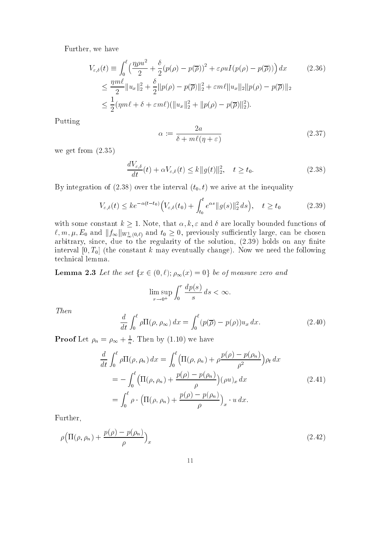Further, we have

$$
V_{\varepsilon,\delta}(t) \equiv \int_0^\ell \left( \frac{\eta \rho u^2}{2} + \frac{\delta}{2} (p(\rho) - p(\overline{\rho}))^2 + \varepsilon \rho u I(p(\rho) - p(\overline{\rho})) \right) dx \qquad (2.36)
$$
  

$$
\leq \frac{\eta m \ell}{2} \|u_x\|_2^2 + \frac{\delta}{2} \|p(\rho) - p(\overline{\rho})\|_2^2 + \varepsilon m \ell \|u_x\|_2 \|p(\rho) - p(\overline{\rho})\|_2
$$
  

$$
\leq \frac{1}{2} (\eta m \ell + \delta + \varepsilon m \ell) (\|u_x\|_2^2 + \|p(\rho) - p(\overline{\rho})\|_2^2).
$$

Putting

$$
\alpha := \frac{2a}{\delta + m\ell(\eta + \varepsilon)}\tag{2.37}
$$

we get from (2.35)

$$
\frac{dV_{\varepsilon,\delta}}{dt}(t) + \alpha V_{\varepsilon,\delta}(t) \le k \|g(t)\|_2^2, \quad t \ge t_0.
$$
\n(2.38)

By integration of  $(2.38)$  over the interval  $(t_0, t)$  we arive at the inequality

$$
V_{\varepsilon,\delta}(t) \le ke^{-\alpha(t-t_0)} \Big( V_{\varepsilon,\delta}(t_0) + \int_{t_0}^t e^{\alpha s} \|g(s)\|_2^2 ds \Big), \quad t \ge t_0 \tag{2.39}
$$

with some constant  $k \geq 1$ . Note, that  $\alpha, k, \varepsilon$  and  $\delta$  are locally bounded functions of  $\mathcal{C}_1$  m;  $\mathcal{C}_2$  and the  $\mathcal{C}_3$  and  $\mathcal{C}_4$  and to  $\mathcal{C}_5$  and  $\mathcal{C}_6$  ( $\mathcal{C}_7$ ) and  $\mathcal{C}_8$  and  $\mathcal{C}_8$  and  $\mathcal{C}_7$  and  $\mathcal{C}_8$  and  $\mathcal{C}_9$  and  $\mathcal{C}_8$  and  $\mathcal{C}_9$  and  $\mathcal{C}_9$  and  $\mathcal{C}_$ arbitrary, since, due to the regularity of the solution,  $(2.39)$  holds on any finite interval  $[0, T_0]$  (the constant k may eventually change). Now we need the following technical lemma.

**Lemma 2.3** Let the set  $\{x \in (0, \ell); \rho_{\infty}(x) = 0\}$  be of measure zero and

$$
\limsup_{r \to 0^+} \int_0^r \frac{dp(s)}{s} \, ds < \infty
$$

Then

$$
\frac{d}{dt} \int_0^\ell \rho \Pi(\rho, \rho_\infty) \, dx = \int_0^\ell (p(\overline{\rho}) - p(\rho)) u_x \, dx. \tag{2.40}
$$

**Proof** Let  $\rho_n = \rho_\infty + \frac{1}{n}$ . Then by (1.10) we have

$$
\frac{d}{dt} \int_0^\ell \rho \Pi(\rho, \rho_n) dx = \int_0^\ell \left( \Pi(\rho, \rho_n) + \rho \frac{p(\rho) - p(\rho_n)}{\rho^2} \right) \rho_t dx
$$
  
\n
$$
= - \int_0^\ell \left( \Pi(\rho, \rho_n) + \frac{p(\rho) - p(\rho_n)}{\rho} \right) (\rho u)_x dx
$$
  
\n
$$
= \int_0^\ell \rho \cdot \left( \Pi(\rho, \rho_n) + \frac{p(\rho) - p(\rho_n)}{\rho} \right)_x \cdot u dx.
$$
\n(2.41)

Further,

$$
\rho \left( \Pi(\rho, \rho_n) + \frac{p(\rho) - p(\rho_n)}{\rho} \right)_x \tag{2.42}
$$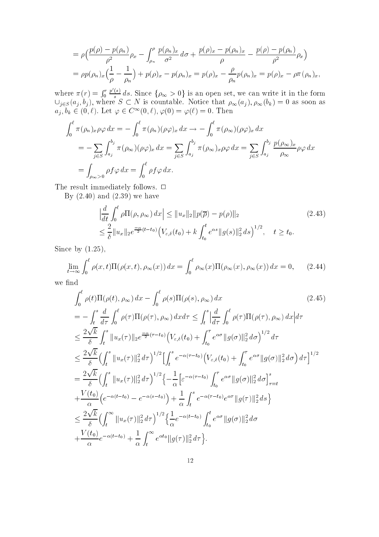$$
= \rho \Big( \frac{p(\rho) - p(\rho_n)}{\rho^2} \rho_x - \int_{\rho_n}^{\rho} \frac{p(\rho_n)_x}{\sigma^2} d\sigma + \frac{p(\rho)_x - p(\rho_n)_x}{\rho} - \frac{p(\rho) - p(\rho_n)}{\rho^2} \rho_x \Big) = \rho p(\rho_n)_x \Big( \frac{1}{\rho} - \frac{1}{\rho_n} \Big) + p(\rho)_x - p(\rho_n)_x = p(\rho)_x - \frac{\rho}{\rho_n} p(\rho_n)_x = p(\rho)_x - \rho \pi(\rho_n)_x,
$$

 $\cdots$  =  $\cdots$   $\cdots$   $\cdots$   $\cdots$ <sup>R</sup> <sup>r</sup>  $\frac{p(s)}{s}$  ds. Since  $\{\rho_{\infty} > 0\}$  is an open set, we can write it in the form  $\{x_i\}$  , and  $\{y_i\}$  , where  $\{x_i\}$  is contracted that is contracted that  $\{y_i\}$  ,  $\{y_i\}$  ,  $\{y_i\}$  , as soon as soon as  $a_j, b_k \in (0, \ell)$ . Let  $\varphi \in C^\infty(0, \ell), \varphi(0) = \varphi(\ell) = 0$ . Then

$$
\int_0^\ell \pi(\rho_n)_x \rho \varphi \, dx = -\int_0^\ell \pi(\rho_n)(\rho \varphi)_x \, dx \to -\int_0^\ell \pi(\rho_\infty)(\rho \varphi)_x \, dx
$$
  
= 
$$
-\sum_{j\in S} \int_{a_j}^{b_j} \pi(\rho_\infty)(\rho \varphi)_x \, dx = \sum_{j\in S} \int_{a_j}^{b_j} \pi(\rho_\infty)_x \rho \varphi \, dx = \sum_{j\in S} \int_{a_j}^{b_j} \frac{p(\rho_\infty)_x}{\rho_\infty} \rho \varphi \, dx
$$
  
= 
$$
\int_{\rho_\infty > 0} \rho f \varphi \, dx = \int_0^\ell \rho f \varphi \, dx.
$$

The result immediately follows.  $\Box$ 

By  $(2.40)$  and  $(2.39)$  we have

$$
\left| \frac{d}{dt} \int_0^{\ell} \rho \Pi(\rho, \rho_{\infty}) dx \right| \leq \|u_x\|_2 \|p(\overline{\rho}) - p(\rho)\|_2 \tag{2.43}
$$
\n
$$
\leq \frac{2}{\delta} \|u_x\|_2 e^{\frac{-\alpha}{2}(t-t_0)} \left(V_{\varepsilon,\delta}(t_0) + k \int_{t_0}^t e^{\alpha s} \|g(s)\|_2^2 ds\right)^{1/2}, \quad t \geq t_0.
$$

Since by  $(1.25)$ ,

$$
\lim_{t \to \infty} \int_0^\ell \rho(x, t) \Pi(\rho(x, t), \rho_\infty(x)) dx = \int_0^\ell \rho_\infty(x) \Pi(\rho_\infty(x), \rho_\infty(x)) dx = 0,
$$
 (2.44)

we find

$$
\int_{0}^{\ell} \rho(t) \Pi(\rho(t), \rho_{\infty}) dx - \int_{0}^{\ell} \rho(s) \Pi(\rho(s), \rho_{\infty}) dx \qquad (2.45)
$$
\n
$$
= -\int_{t}^{s} \frac{d}{d\tau} \int_{0}^{\ell} \rho(\tau) \Pi(\rho(\tau), \rho_{\infty}) dx d\tau \leq \int_{t}^{s} \left| \frac{d}{d\tau} \int_{0}^{\ell} \rho(\tau) \Pi(\rho(\tau), \rho_{\infty}) dx \right| d\tau
$$
\n
$$
\leq \frac{2\sqrt{k}}{\delta} \int_{t}^{s} \|u_{x}(\tau)\|_{2} e^{-\frac{\alpha}{2}(\tau - t_{0})} \left(V_{\varepsilon, \delta}(t_{0}) + \int_{t_{0}}^{\tau} e^{\alpha \sigma} \|g(\sigma)\|_{2}^{2} d\sigma\right)^{1/2} d\tau
$$
\n
$$
\leq \frac{2\sqrt{k}}{\delta} \left(\int_{t}^{s} \|u_{x}(\tau)\|_{2}^{2} d\tau\right)^{1/2} \left[\int_{t}^{s} e^{-\alpha(\tau - t_{0})} \left(V_{\varepsilon, \delta}(t_{0}) + \int_{t_{0}}^{\tau} e^{\alpha \sigma} \|g(\sigma)\|_{2}^{2} d\sigma\right) d\tau\right]^{1/2}
$$
\n
$$
= \frac{2\sqrt{k}}{\delta} \left(\int_{t}^{s} \|u_{x}(\tau)\|_{2}^{2} d\tau\right)^{1/2} \left\{-\frac{1}{\alpha} \left[\varepsilon^{-\alpha(\tau - t_{0})} \int_{t_{0}}^{\tau} e^{\alpha \sigma} \|g(\sigma)\|_{2}^{2} d\sigma\right]_{\tau = t}^{s}
$$
\n
$$
+ \frac{V(t_{0})}{\alpha} \left(e^{-\alpha(t - t_{0})} - e^{-\alpha(s - t_{0})}\right) + \frac{1}{\alpha} \int_{t}^{s} e^{-\alpha(\tau - t_{0})} e^{\alpha \tau} \|g(\tau)\|_{2}^{2} d\tau\right\}
$$
\n
$$
\leq \frac{2\sqrt{k}}{\delta} \left(\int_{t}^{\infty} \|u_{x}(\tau)\|_{2}^{2} d\tau\right)^{1/2} \left\{\frac{1}{\alpha} e^{-\alpha(t -
$$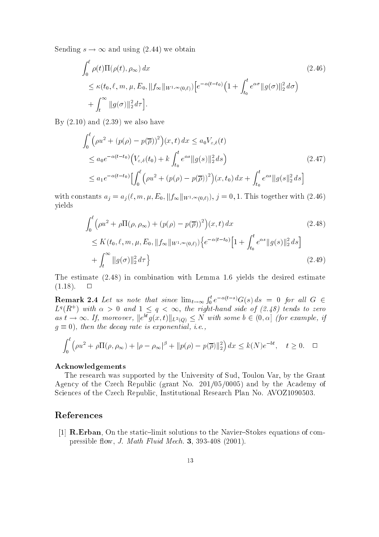Sending  $s \to \infty$  and using (2.44) we obtain

$$
\int_{0}^{\ell} \rho(t) \Pi(\rho(t), \rho_{\infty}) dx
$$
\n
$$
\leq \kappa(t_0, \ell, m, \mu, E_0, \|f_{\infty}\|_{W^{1,\infty}(0,\ell)}) \Big[ e^{-\alpha(t-t_0)} \Big( 1 + \int_{t_0}^{t} e^{\alpha \sigma} \|g(\sigma)\|_{2}^{2} d\sigma \Big)
$$
\n
$$
+ \int_{t}^{\infty} \|g(\sigma)\|_{2}^{2} d\tau \Big].
$$
\n(2.46)

By  $(2.10)$  and  $(2.39)$  we also have

$$
\int_{0}^{t} \left(\rho u^{2} + (p(\rho) - p(\overline{\rho}))^{2}\right)(x, t) dx \le a_{0} V_{\varepsilon, \delta}(t)
$$
\n
$$
\le a_{0} e^{-\alpha(t - t_{0})} \left(V_{\varepsilon, \delta}(t_{0}) + k \int_{t_{0}}^{t} e^{\alpha s} \|g(s)\|_{2}^{2} ds\right)
$$
\n
$$
\le a_{1} e^{-\alpha(t - t_{0})} \left[\int_{0}^{t} \left(\rho u^{2} + (p(\rho) - p(\overline{\rho}))^{2}\right)(x, t_{0}) dx + \int_{t_{0}}^{t} e^{\alpha s} \|g(s)\|_{2}^{2} ds\right]
$$
\n(2.47)

with constants  $a_j = a_j(\ell, m, \mu, E_0, ||f_\infty||_{W^{1,\infty}(0,\ell)}), j = 0, 1$ . This together with (2.46) yields

$$
\int_{0}^{t} \left(\rho u^{2} + \rho \Pi(\rho, \rho_{\infty}) + (p(\rho) - p(\overline{\rho}))^{2}\right)(x, t) dx
$$
\n
$$
\leq K(t_{0}, \ell, m, \mu, E_{0}, \|f_{\infty}\|_{W^{1, \infty}(0, \ell)}) \Big\{ e^{-\alpha(t - t_{0})} \Big[1 + \int_{t_{0}}^{t} e^{\alpha s} \|g(s)\|_{2}^{2} ds\Big] + \int_{t}^{\infty} \|g(\sigma)\|_{2}^{2} d\tau \Big\}
$$
\n(2.49)

The estimate (2.48) in combination with Lemma 1.6 yields the desired estimate  $(1.18)$ .  $\Box$ 

**Remark 2.4** Let us note that since  $\lim_{t\to\infty} \int_0^t e^{-\alpha(t-s)} G(s) ds = 0$  for all  $G \in$  $L^1(R^+)$  with  $\alpha > 0$  and  $1 \le q \le \infty$ , the right-hand side of (2.48) tends to zero as  $t \to \infty$ , if, moreover,  $\|e\|g(x,t)\|_{L^2(Q)} \leq N$  with some  $v \in (0,\alpha)$  (for example, y  $\mathbf{u}$  . Then the decay rate is exponential, i.e., i.e., i.e., i.e., i.e., i.e., i.e., i.e., i.e., i.e., i.e., i.e., i.e., i.e., i.e., i.e., i.e., i.e., i.e., i.e., i.e., i.e., i.e., i.e., i.e., i.e., i.e., i.e., i.e.,

$$
\int_0^\ell \left(\rho u^2 + \rho \Pi(\rho, \rho_\infty) + |\rho - \rho_\infty|^\beta + \|p(\rho) - p(\overline{\rho})\|_2^2\right) dx \le k(N)e^{-bt}, \quad t \ge 0. \quad \Box
$$

#### Acknowledgements

The research was supported by the University of Sud, Toulon Var, by the Grant Agency of the Czech Republic (grant No. 201/05/0005) and by the Academy of Sciences of the Czech Republic, Institutional Research Plan No. AVOZ1090503.

### References

[1] **R.Erban**, On the static-limit solutions to the Navier-Stokes equations of compressible flow, J. Math Fluid Mech. 3, 393-408 (2001).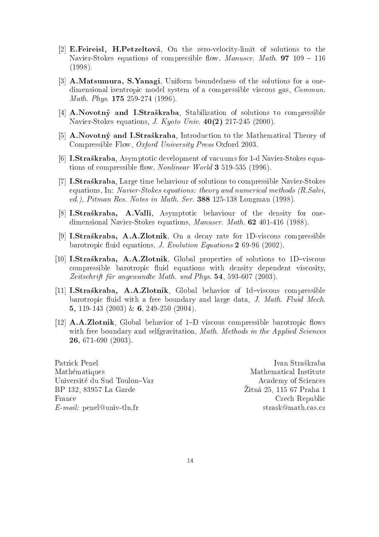- [2] E.Feireisl, H.Petzeltová, On the zero-velocity-limit of solutions to the Navier-Stokes equations of compressible flow, *Manuscr. Math.* **97** 109 – 116 (1998).
- [3] A.Matsumura, S.Yanagi, Uniform boundedness of the solutions for a onedimensional isentropic model system of a compressible viscous gas, Commun. Math. Phys. **175** 259-274 (1996).
- [4] A.Novotný and I.Straškraba, Stabilization of solutions to compressible Navier-Stokes equations, *J. Kyoto Univ.*  $40(2)$  217-245 (2000).
- [5] A.Novotný and I.Straškraba, Introduction to the Mathematical Theory of Compressible Flow, Oxford University Press Oxford 2003.
- [6] I.Straskraba, Asymptotic development of vacuums for 1-d Navier-Stokes equations of compressible flow, *Nonlinear World* **3** 519-535 (1996).
- [7] I.Straskraba, Large time behaviour of solutions to compressible Navier-Stokes equations, In: Navier-Stokes equations: theory and numerical methods (R.Salvi, ed.), Pitman Res. Notes in Math. Ser. 388 125-138 Longman (1998).
- [8] I.Straskraba, A.Valli, Asymptotic behaviour of the density for onedimensional Navier-Stokes equations, Manuscr. Math. 62 401-416 (1988).
- [9] I.Straskraba, A.A.Zlotnik, On a decay rate for 1D-viscous compressible barotropic fluid equations, *J. Evolution Equations* 2 69-96 (2002).
- [10] I.Straškraba, A.A.Zlotnik, Global properties of solutions to 1D-viscous compressible barotropic fluid equations with density dependent viscosity, Zeitschrift für angewandte Math. und Phys. 54, 593-607 (2003).
- [11] I.Straškraba, A.A.Zlotnik, Global behavior of  $1d$ -viscous compressible barotropic fluid with a free boundary and large data, J. Math. Fluid Mech. 5, 119-143 (2003) & 6, 249-250 (2004).
- $[12]$  **A.A.Zlotnik**, Global behavior of 1–D viscous compressible barotropic flows with free boundary and selfgravitation, *Math. Methods in the Applied Sciences* 26, 671-690 (2003).

Mathematiques Mathematical Institute Universite du Sud Toulon{Var Academy of Sciences BP 132, 83957 La Garde France Czech Republic E-mail: penel@univ-tln.fr strask@math.cas.cz

Zitná 25. 115 67 Praha 1